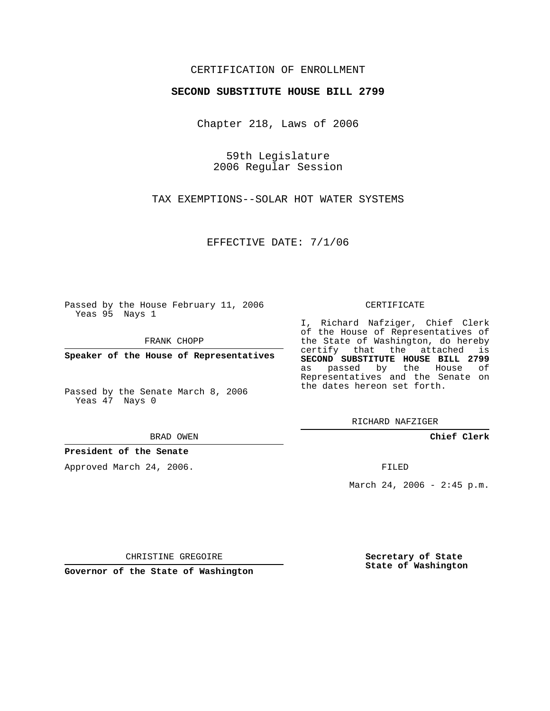# CERTIFICATION OF ENROLLMENT

### **SECOND SUBSTITUTE HOUSE BILL 2799**

Chapter 218, Laws of 2006

59th Legislature 2006 Regular Session

TAX EXEMPTIONS--SOLAR HOT WATER SYSTEMS

EFFECTIVE DATE: 7/1/06

Passed by the House February 11, 2006 Yeas 95 Nays 1

FRANK CHOPP

**Speaker of the House of Representatives**

Passed by the Senate March 8, 2006 Yeas 47 Nays 0

#### BRAD OWEN

### **President of the Senate**

Approved March 24, 2006.

### CERTIFICATE

I, Richard Nafziger, Chief Clerk of the House of Representatives of the State of Washington, do hereby certify that the attached is **SECOND SUBSTITUTE HOUSE BILL 2799** as passed by the House of Representatives and the Senate on the dates hereon set forth.

RICHARD NAFZIGER

**Chief Clerk**

FILED

March 24, 2006 -  $2:45$  p.m.

CHRISTINE GREGOIRE

**Governor of the State of Washington**

**Secretary of State State of Washington**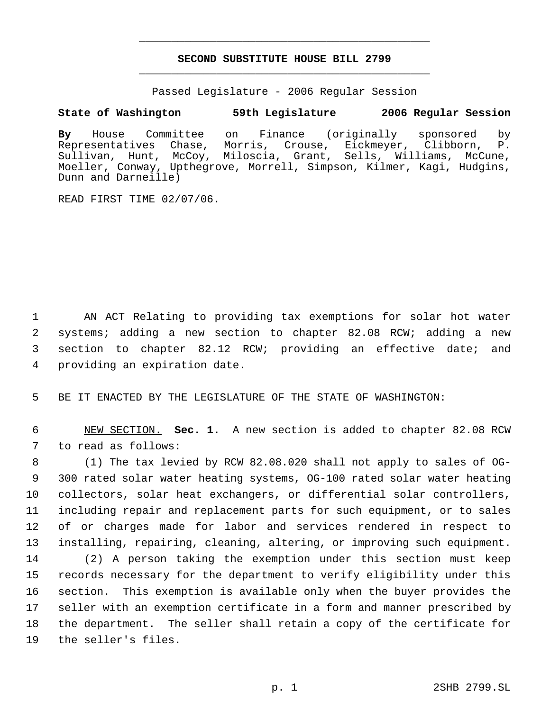# **SECOND SUBSTITUTE HOUSE BILL 2799** \_\_\_\_\_\_\_\_\_\_\_\_\_\_\_\_\_\_\_\_\_\_\_\_\_\_\_\_\_\_\_\_\_\_\_\_\_\_\_\_\_\_\_\_\_

\_\_\_\_\_\_\_\_\_\_\_\_\_\_\_\_\_\_\_\_\_\_\_\_\_\_\_\_\_\_\_\_\_\_\_\_\_\_\_\_\_\_\_\_\_

Passed Legislature - 2006 Regular Session

## **State of Washington 59th Legislature 2006 Regular Session**

**By** House Committee on Finance (originally sponsored by Representatives Chase, Morris, Crouse, Eickmeyer, Clibborn, P. Sullivan, Hunt, McCoy, Miloscia, Grant, Sells, Williams, McCune, Moeller, Conway, Upthegrove, Morrell, Simpson, Kilmer, Kagi, Hudgins, Dunn and Darneille)

READ FIRST TIME 02/07/06.

 AN ACT Relating to providing tax exemptions for solar hot water systems; adding a new section to chapter 82.08 RCW; adding a new section to chapter 82.12 RCW; providing an effective date; and providing an expiration date.

BE IT ENACTED BY THE LEGISLATURE OF THE STATE OF WASHINGTON:

 NEW SECTION. **Sec. 1.** A new section is added to chapter 82.08 RCW to read as follows:

 (1) The tax levied by RCW 82.08.020 shall not apply to sales of OG- 300 rated solar water heating systems, OG-100 rated solar water heating collectors, solar heat exchangers, or differential solar controllers, including repair and replacement parts for such equipment, or to sales of or charges made for labor and services rendered in respect to installing, repairing, cleaning, altering, or improving such equipment. (2) A person taking the exemption under this section must keep records necessary for the department to verify eligibility under this section. This exemption is available only when the buyer provides the seller with an exemption certificate in a form and manner prescribed by the department. The seller shall retain a copy of the certificate for the seller's files.